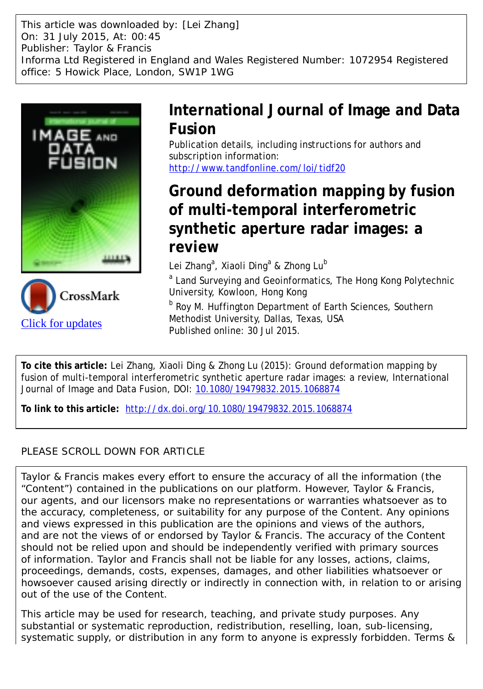This article was downloaded by: [Lei Zhang] On: 31 July 2015, At: 00:45 Publisher: Taylor & Francis Informa Ltd Registered in England and Wales Registered Number: 1072954 Registered office: 5 Howick Place, London, SW1P 1WG





# **International Journal of Image and Data Fusion**

Publication details, including instructions for authors and subscription information: <http://www.tandfonline.com/loi/tidf20>

# **Ground deformation mapping by fusion of multi-temporal interferometric synthetic aperture radar images: a review**

Lei Zhang<sup>a</sup>, Xiaoli Ding<sup>a</sup> & Zhong Lu<sup>b</sup>

<sup>a</sup> Land Surveying and Geoinformatics, The Hong Kong Polytechnic University, Kowloon, Hong Kong

**b** Roy M. Huffington Department of Earth Sciences, Southern Methodist University, Dallas, Texas, USA Published online: 30 Jul 2015.

**To cite this article:** Lei Zhang, Xiaoli Ding & Zhong Lu (2015): Ground deformation mapping by fusion of multi-temporal interferometric synthetic aperture radar images: a review, International Journal of Image and Data Fusion, DOI: [10.1080/19479832.2015.1068874](http://www.tandfonline.com/action/showCitFormats?doi=10.1080/19479832.2015.1068874)

**To link to this article:** <http://dx.doi.org/10.1080/19479832.2015.1068874>

# PLEASE SCROLL DOWN FOR ARTICLE

Taylor & Francis makes every effort to ensure the accuracy of all the information (the "Content") contained in the publications on our platform. However, Taylor & Francis, our agents, and our licensors make no representations or warranties whatsoever as to the accuracy, completeness, or suitability for any purpose of the Content. Any opinions and views expressed in this publication are the opinions and views of the authors, and are not the views of or endorsed by Taylor & Francis. The accuracy of the Content should not be relied upon and should be independently verified with primary sources of information. Taylor and Francis shall not be liable for any losses, actions, claims, proceedings, demands, costs, expenses, damages, and other liabilities whatsoever or howsoever caused arising directly or indirectly in connection with, in relation to or arising out of the use of the Content.

This article may be used for research, teaching, and private study purposes. Any substantial or systematic reproduction, redistribution, reselling, loan, sub-licensing, systematic supply, or distribution in any form to anyone is expressly forbidden. Terms &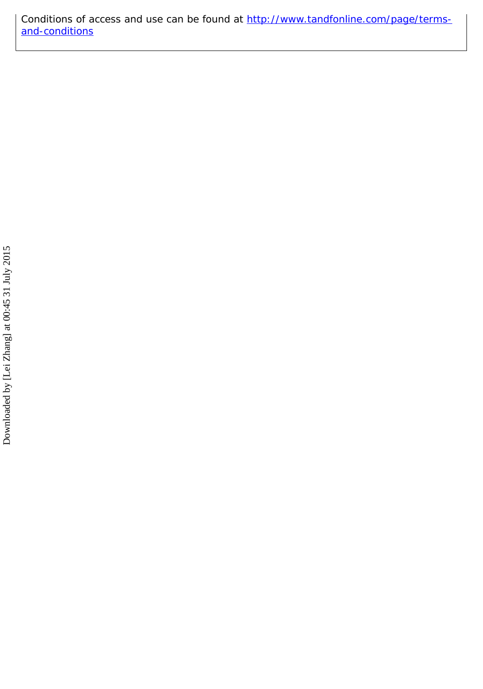Conditions of access and use can be found at [http://www.tandfonline.com/page/terms](http://www.tandfonline.com/page/terms-and-conditions)[and-conditions](http://www.tandfonline.com/page/terms-and-conditions)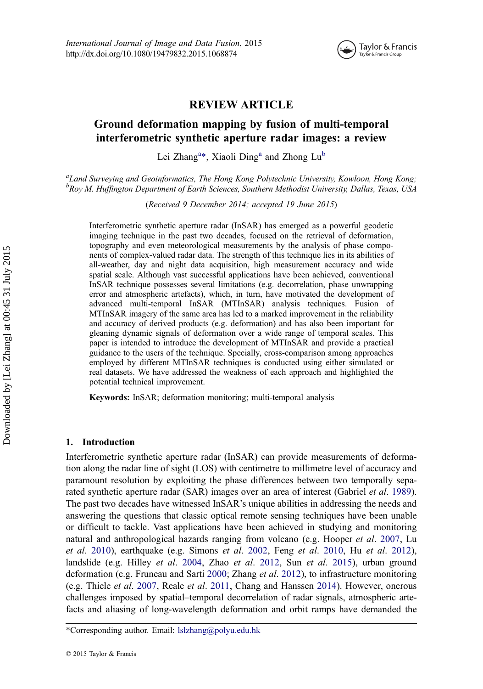

# REVIEW ARTICLE

# Ground deformation mapping by fusion of multi-temporal interferometric synthetic aperture radar images: a review

Lei Zhang<sup>a\*</sup>, Xiaoli Ding<sup>a</sup> and Zhong Lu<sup>b</sup>

<sup>a</sup>Land Surveying and Geoinformatics, The Hong Kong Polytechnic University, Kowloon, Hong Kong; <sup>b</sup>Roy M. Huffington Department of Earth Sciences, Southern Methodist University, Dallas, Texas, USA

(Received 9 December 2014; accepted 19 June 2015)

Interferometric synthetic aperture radar (InSAR) has emerged as a powerful geodetic imaging technique in the past two decades, focused on the retrieval of deformation, topography and even meteorological measurements by the analysis of phase components of complex-valued radar data. The strength of this technique lies in its abilities of all-weather, day and night data acquisition, high measurement accuracy and wide spatial scale. Although vast successful applications have been achieved, conventional InSAR technique possesses several limitations (e.g. decorrelation, phase unwrapping error and atmospheric artefacts), which, in turn, have motivated the development of advanced multi-temporal InSAR (MTInSAR) analysis techniques. Fusion of MTInSAR imagery of the same area has led to a marked improvement in the reliability and accuracy of derived products (e.g. deformation) and has also been important for gleaning dynamic signals of deformation over a wide range of temporal scales. This paper is intended to introduce the development of MTInSAR and provide a practical guidance to the users of the technique. Specially, cross-comparison among approaches employed by different MTInSAR techniques is conducted using either simulated or real datasets. We have addressed the weakness of each approach and highlighted the potential technical improvement.

Keywords: InSAR; deformation monitoring; multi-temporal analysis

#### 1. Introduction

Interferometric synthetic aperture radar (InSAR) can provide measurements of deformation along the radar line of sight (LOS) with centimetre to millimetre level of accuracy and paramount resolution by exploiting the phase differences between two temporally separated synthetic aperture radar (SAR) images over an area of interest (Gabriel *et al.* [1989](#page-25-0)). The past two decades have witnessed InSAR's unique abilities in addressing the needs and answering the questions that classic optical remote sensing techniques have been unable or difficult to tackle. Vast applications have been achieved in studying and monitoring natural and anthropological hazards ranging from volcano (e.g. Hooper et al. [2007,](#page-25-0) Lu et al. [2010](#page-25-0)), earthquake (e.g. Simons et al. [2002](#page-26-0), Feng et al. [2010,](#page-24-0) Hu et al. [2012](#page-25-0)), landslide (e.g. Hilley et al. [2004](#page-25-0), Zhao et al. [2012,](#page-26-0) Sun et al. [2015\)](#page-26-0), urban ground deformation (e.g. Fruneau and Sarti [2000;](#page-25-0) Zhang et al. [2012\)](#page-26-0), to infrastructure monitoring (e.g. Thiele et al. [2007](#page-26-0), Reale et al. [2011,](#page-25-0) Chang and Hanssen [2014\)](#page-24-0). However, onerous challenges imposed by spatial–temporal decorrelation of radar signals, atmospheric artefacts and aliasing of long-wavelength deformation and orbit ramps have demanded the

<sup>\*</sup>Corresponding author. Email: lslzhang@polyu.edu.hk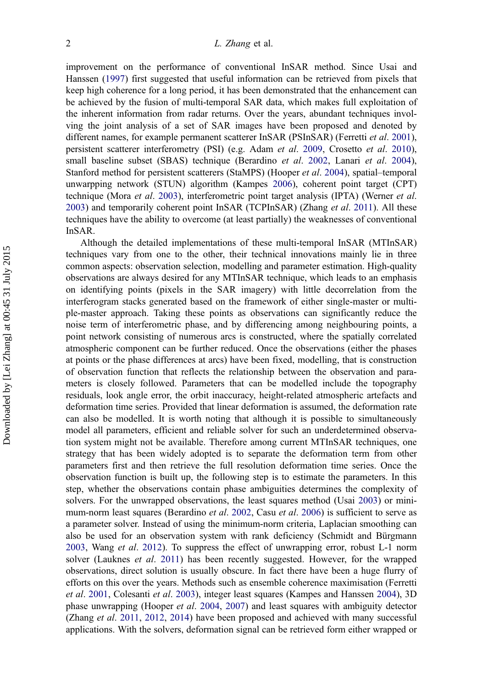improvement on the performance of conventional InSAR method. Since Usai and Hanssen ([1997\)](#page-26-0) first suggested that useful information can be retrieved from pixels that keep high coherence for a long period, it has been demonstrated that the enhancement can be achieved by the fusion of multi-temporal SAR data, which makes full exploitation of the inherent information from radar returns. Over the years, abundant techniques involving the joint analysis of a set of SAR images have been proposed and denoted by different names, for example permanent scatterer InSAR (PSInSAR) (Ferretti et al. [2001](#page-25-0)), persistent scatterer interferometry (PSI) (e.g. Adam et al. [2009,](#page-24-0) Crosetto et al. [2010](#page-24-0)), small baseline subset (SBAS) technique (Berardino et al. [2002,](#page-24-0) Lanari et al. [2004](#page-25-0)), Stanford method for persistent scatterers (StaMPS) (Hooper et al. [2004\)](#page-25-0), spatial–temporal unwarpping network (STUN) algorithm (Kampes [2006\)](#page-25-0), coherent point target (CPT) technique (Mora *et al.* [2003\)](#page-25-0), interferometric point target analysis (IPTA) (Werner *et al.* [2003](#page-26-0)) and temporarily coherent point InSAR (TCPInSAR) (Zhang et al. [2011](#page-26-0)). All these techniques have the ability to overcome (at least partially) the weaknesses of conventional InSAR.

Although the detailed implementations of these multi-temporal InSAR (MTInSAR) techniques vary from one to the other, their technical innovations mainly lie in three common aspects: observation selection, modelling and parameter estimation. High-quality observations are always desired for any MTInSAR technique, which leads to an emphasis on identifying points (pixels in the SAR imagery) with little decorrelation from the interferogram stacks generated based on the framework of either single-master or multiple-master approach. Taking these points as observations can significantly reduce the noise term of interferometric phase, and by differencing among neighbouring points, a point network consisting of numerous arcs is constructed, where the spatially correlated atmospheric component can be further reduced. Once the observations (either the phases at points or the phase differences at arcs) have been fixed, modelling, that is construction of observation function that reflects the relationship between the observation and parameters is closely followed. Parameters that can be modelled include the topography residuals, look angle error, the orbit inaccuracy, height-related atmospheric artefacts and deformation time series. Provided that linear deformation is assumed, the deformation rate can also be modelled. It is worth noting that although it is possible to simultaneously model all parameters, efficient and reliable solver for such an underdetermined observation system might not be available. Therefore among current MTInSAR techniques, one strategy that has been widely adopted is to separate the deformation term from other parameters first and then retrieve the full resolution deformation time series. Once the observation function is built up, the following step is to estimate the parameters. In this step, whether the observations contain phase ambiguities determines the complexity of solvers. For the unwrapped observations, the least squares method (Usai [2003](#page-26-0)) or mini-mum-norm least squares (Berardino et al. [2002,](#page-24-0) Casu et al. [2006\)](#page-24-0) is sufficient to serve as a parameter solver. Instead of using the minimum-norm criteria, Laplacian smoothing can also be used for an observation system with rank deficiency (Schmidt and Bürgmann [2003](#page-26-0), Wang *et al.* [2012\)](#page-26-0). To suppress the effect of unwrapping error, robust L-1 norm solver (Lauknes *et al.* [2011\)](#page-25-0) has been recently suggested. However, for the wrapped observations, direct solution is usually obscure. In fact there have been a huge flurry of efforts on this over the years. Methods such as ensemble coherence maximisation (Ferretti et al. [2001,](#page-25-0) Colesanti et al. [2003\)](#page-24-0), integer least squares (Kampes and Hanssen [2004](#page-25-0)), 3D phase unwrapping (Hooper et al. [2004,](#page-25-0) [2007](#page-25-0)) and least squares with ambiguity detector (Zhang *et al.* [2011](#page-26-0), [2012,](#page-26-0) [2014\)](#page-26-0) have been proposed and achieved with many successful applications. With the solvers, deformation signal can be retrieved form either wrapped or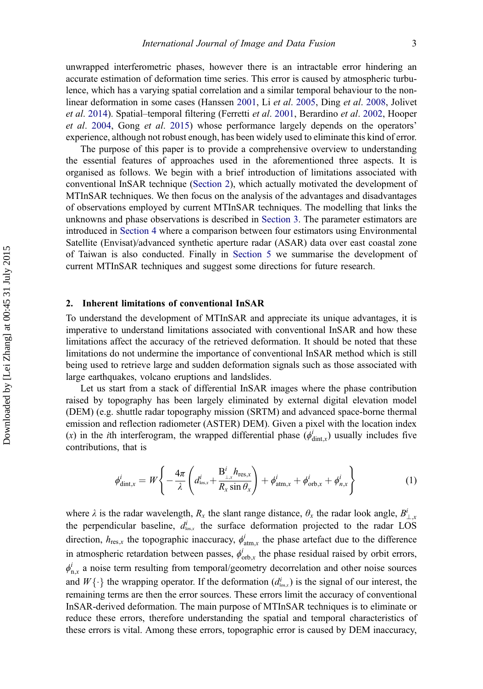unwrapped interferometric phases, however there is an intractable error hindering an accurate estimation of deformation time series. This error is caused by atmospheric turbulence, which has a varying spatial correlation and a similar temporal behaviour to the nonlinear deformation in some cases (Hanssen [2001](#page-25-0), Li et al. [2005,](#page-25-0) Ding et al. [2008](#page-24-0), Jolivet et al. [2014](#page-25-0)). Spatial–temporal filtering (Ferretti et al. [2001,](#page-25-0) Berardino et al. [2002,](#page-24-0) Hooper et al. [2004,](#page-25-0) Gong et al. [2015\)](#page-25-0) whose performance largely depends on the operators' experience, although not robust enough, has been widely used to eliminate this kind of error.

The purpose of this paper is to provide a comprehensive overview to understanding the essential features of approaches used in the aforementioned three aspects. It is organised as follows. We begin with a brief introduction of limitations associated with conventional InSAR technique (Section 2), which actually motivated the development of MTInSAR techniques. We then focus on the analysis of the advantages and disadvantages of observations employed by current MTInSAR techniques. The modelling that links the unknowns and phase observations is described in [Section 3.](#page-6-0) The parameter estimators are introduced in [Section 4](#page-13-0) where a comparison between four estimators using Environmental Satellite (Envisat)/advanced synthetic aperture radar (ASAR) data over east coastal zone of Taiwan is also conducted. Finally in [Section 5](#page-17-0) we summarise the development of current MTInSAR techniques and suggest some directions for future research.

# 2. Inherent limitations of conventional InSAR

To understand the development of MTInSAR and appreciate its unique advantages, it is imperative to understand limitations associated with conventional InSAR and how these limitations affect the accuracy of the retrieved deformation. It should be noted that these limitations do not undermine the importance of conventional InSAR method which is still being used to retrieve large and sudden deformation signals such as those associated with large earthquakes, volcano eruptions and landslides.

Let us start from a stack of differential InSAR images where the phase contribution raised by topography has been largely eliminated by external digital elevation model (DEM) (e.g. shuttle radar topography mission (SRTM) and advanced space-borne thermal emission and reflection radiometer (ASTER) DEM). Given a pixel with the location index (x) in the *i*th interferogram, the wrapped differential phase  $(\phi_{\text{dint},x}^{i})$  usually includes five contributions, that is

$$
\phi_{\text{dint},x}^{i} = W \left\{ -\frac{4\pi}{\lambda} \left( d_{\text{los},x}^{i} + \frac{B_{\perp,x}^{i} h_{\text{res},x}}{R_{x} \sin \theta_{x}} \right) + \phi_{\text{atm},x}^{i} + \phi_{\text{orb},x}^{i} + \phi_{n,x}^{i} \right\}
$$
(1)

where  $\lambda$  is the radar wavelength,  $R_x$  the slant range distance,  $\theta_x$  the radar look angle,  $B_{\perp x}^i$ where  $\lambda$  is the radar wavelength,  $K_x$  the stant range distance,  $\sigma_x$  the radar look angle,  $D_{\perp,x}$  the perpendicular baseline,  $d_{\text{los},x}^i$  the surface deformation projected to the radar LOS direction,  $h_{\text{res},x}$  the topographic inaccuracy,  $\phi_{\text{atm},x}^i$  the phase artefact due to the difference in atmospheric retardation between passes,  $\phi_{orb,x}^i$  the phase residual raised by orbit errors,  $\phi_{n,x}^i$  a noise term resulting from temporal/geometry decorrelation and other noise sources and  $W\{\cdot\}$  the wrapping operator. If the deformation  $(d_{\text{los},x}^i)$  is the signal of our interest, the remaining terms are then the arror sources. These errors limit the accuracy of conventional remaining terms are then the error sources. These errors limit the accuracy of conventional InSAR-derived deformation. The main purpose of MTInSAR techniques is to eliminate or reduce these errors, therefore understanding the spatial and temporal characteristics of these errors is vital. Among these errors, topographic error is caused by DEM inaccuracy,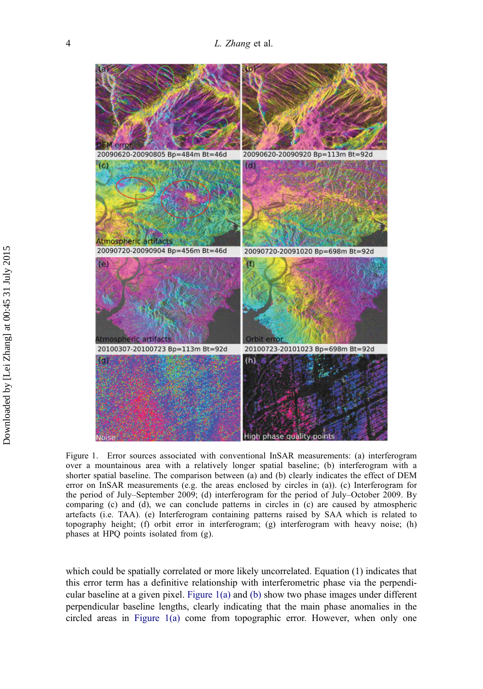<span id="page-5-0"></span>

Figure 1. Error sources associated with conventional InSAR measurements: (a) interferogram over a mountainous area with a relatively longer spatial baseline; (b) interferogram with a shorter spatial baseline. The comparison between (a) and (b) clearly indicates the effect of DEM error on InSAR measurements (e.g. the areas enclosed by circles in (a)). (c) Interferogram for the period of July–September 2009; (d) interferogram for the period of July–October 2009. By comparing (c) and (d), we can conclude patterns in circles in (c) are caused by atmospheric artefacts (i.e. TAA). (e) Interferogram containing patterns raised by SAA which is related to topography height; (f) orbit error in interferogram; (g) interferogram with heavy noise; (h) phases at HPQ points isolated from (g).

which could be spatially correlated or more likely uncorrelated. Equation (1) indicates that this error term has a definitive relationship with interferometric phase via the perpendicular baseline at a given pixel. Figure 1(a) and (b) show two phase images under different perpendicular baseline lengths, clearly indicating that the main phase anomalies in the circled areas in Figure 1(a) come from topographic error. However, when only one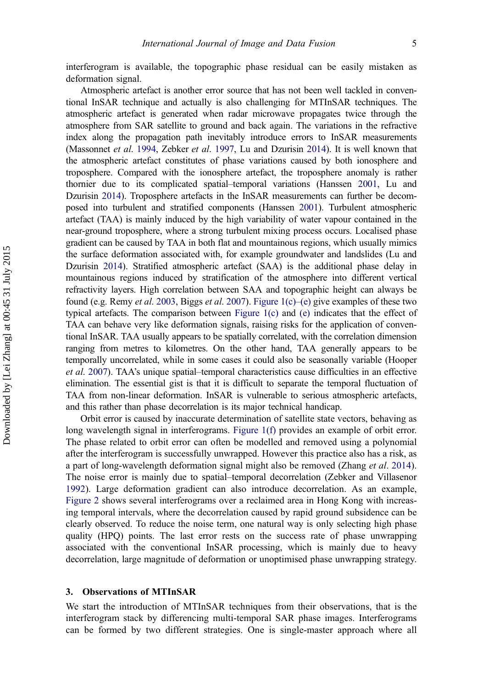<span id="page-6-0"></span>interferogram is available, the topographic phase residual can be easily mistaken as deformation signal.

Atmospheric artefact is another error source that has not been well tackled in conventional InSAR technique and actually is also challenging for MTInSAR techniques. The atmospheric artefact is generated when radar microwave propagates twice through the atmosphere from SAR satellite to ground and back again. The variations in the refractive index along the propagation path inevitably introduce errors to InSAR measurements (Massonnet et al. [1994](#page-25-0), Zebker et al. [1997](#page-26-0), Lu and Dzurisin [2014](#page-25-0)). It is well known that the atmospheric artefact constitutes of phase variations caused by both ionosphere and troposphere. Compared with the ionosphere artefact, the troposphere anomaly is rather thornier due to its complicated spatial–temporal variations (Hanssen [2001](#page-25-0), Lu and Dzurisin [2014\)](#page-25-0). Troposphere artefacts in the InSAR measurements can further be decomposed into turbulent and stratified components (Hanssen [2001](#page-25-0)). Turbulent atmospheric artefact (TAA) is mainly induced by the high variability of water vapour contained in the near-ground troposphere, where a strong turbulent mixing process occurs. Localised phase gradient can be caused by TAA in both flat and mountainous regions, which usually mimics the surface deformation associated with, for example groundwater and landslides (Lu and Dzurisin [2014](#page-25-0)). Stratified atmospheric artefact (SAA) is the additional phase delay in mountainous regions induced by stratification of the atmosphere into different vertical refractivity layers. High correlation between SAA and topographic height can always be found (e.g. Remy et al. [2003](#page-26-0), Biggs et al. [2007\)](#page-24-0). [Figure 1\(c\)](#page-5-0)–(e) give examples of these two typical artefacts. The comparison between [Figure 1\(c\)](#page-5-0) and [\(e\)](#page-5-0) indicates that the effect of TAA can behave very like deformation signals, raising risks for the application of conventional InSAR. TAA usually appears to be spatially correlated, with the correlation dimension ranging from metres to kilometres. On the other hand, TAA generally appears to be temporally uncorrelated, while in some cases it could also be seasonally variable (Hooper et al. [2007\)](#page-25-0). TAA's unique spatial–temporal characteristics cause difficulties in an effective elimination. The essential gist is that it is difficult to separate the temporal fluctuation of TAA from non-linear deformation. InSAR is vulnerable to serious atmospheric artefacts, and this rather than phase decorrelation is its major technical handicap.

Orbit error is caused by inaccurate determination of satellite state vectors, behaving as long wavelength signal in interferograms. [Figure 1\(f\)](#page-5-0) provides an example of orbit error. The phase related to orbit error can often be modelled and removed using a polynomial after the interferogram is successfully unwrapped. However this practice also has a risk, as a part of long-wavelength deformation signal might also be removed (Zhang et al. [2014](#page-26-0)). The noise error is mainly due to spatial–temporal decorrelation (Zebker and Villasenor [1992](#page-26-0)). Large deformation gradient can also introduce decorrelation. As an example, [Figure 2](#page-7-0) shows several interferograms over a reclaimed area in Hong Kong with increasing temporal intervals, where the decorrelation caused by rapid ground subsidence can be clearly observed. To reduce the noise term, one natural way is only selecting high phase quality (HPQ) points. The last error rests on the success rate of phase unwrapping associated with the conventional InSAR processing, which is mainly due to heavy decorrelation, large magnitude of deformation or unoptimised phase unwrapping strategy.

# 3. Observations of MTInSAR

We start the introduction of MTInSAR techniques from their observations, that is the interferogram stack by differencing multi-temporal SAR phase images. Interferograms can be formed by two different strategies. One is single-master approach where all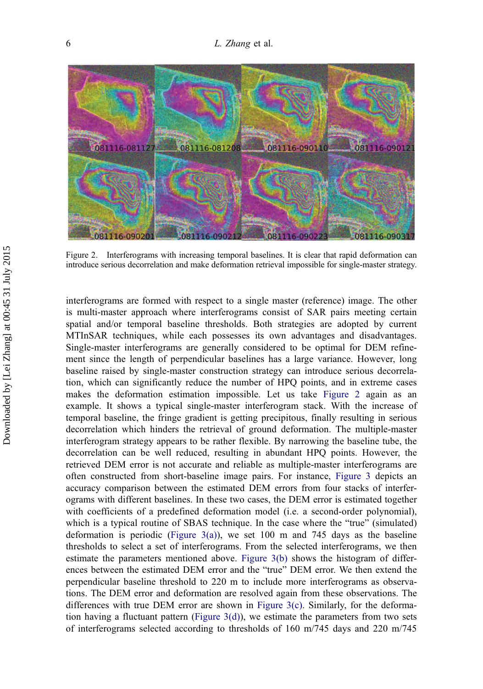<span id="page-7-0"></span>

Figure 2. Interferograms with increasing temporal baselines. It is clear that rapid deformation can introduce serious decorrelation and make deformation retrieval impossible for single-master strategy.

interferograms are formed with respect to a single master (reference) image. The other is multi-master approach where interferograms consist of SAR pairs meeting certain spatial and/or temporal baseline thresholds. Both strategies are adopted by current MTInSAR techniques, while each possesses its own advantages and disadvantages. Single-master interferograms are generally considered to be optimal for DEM refinement since the length of perpendicular baselines has a large variance. However, long baseline raised by single-master construction strategy can introduce serious decorrelation, which can significantly reduce the number of HPQ points, and in extreme cases makes the deformation estimation impossible. Let us take Figure 2 again as an example. It shows a typical single-master interferogram stack. With the increase of temporal baseline, the fringe gradient is getting precipitous, finally resulting in serious decorrelation which hinders the retrieval of ground deformation. The multiple-master interferogram strategy appears to be rather flexible. By narrowing the baseline tube, the decorrelation can be well reduced, resulting in abundant HPQ points. However, the retrieved DEM error is not accurate and reliable as multiple-master interferograms are often constructed from short-baseline image pairs. For instance, [Figure 3](#page-8-0) depicts an accuracy comparison between the estimated DEM errors from four stacks of interferograms with different baselines. In these two cases, the DEM error is estimated together with coefficients of a predefined deformation model (i.e. a second-order polynomial), which is a typical routine of SBAS technique. In the case where the "true" (simulated) deformation is periodic [\(Figure 3\(a\)\)](#page-8-0), we set 100 m and 745 days as the baseline thresholds to select a set of interferograms. From the selected interferograms, we then estimate the parameters mentioned above. [Figure 3\(b\)](#page-8-0) shows the histogram of differences between the estimated DEM error and the "true" DEM error. We then extend the perpendicular baseline threshold to 220 m to include more interferograms as observations. The DEM error and deformation are resolved again from these observations. The differences with true DEM error are shown in [Figure 3\(c\).](#page-8-0) Similarly, for the deforma-tion having a fluctuant pattern ([Figure 3\(d\)](#page-8-0)), we estimate the parameters from two sets of interferograms selected according to thresholds of 160 m/745 days and 220 m/745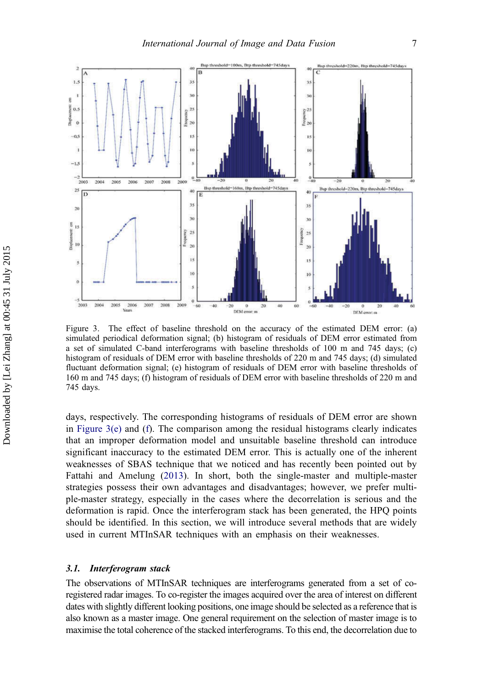<span id="page-8-0"></span>

Figure 3. The effect of baseline threshold on the accuracy of the estimated DEM error: (a) simulated periodical deformation signal; (b) histogram of residuals of DEM error estimated from a set of simulated C-band interferograms with baseline thresholds of 100 m and 745 days; (c) histogram of residuals of DEM error with baseline thresholds of 220 m and 745 days; (d) simulated fluctuant deformation signal; (e) histogram of residuals of DEM error with baseline thresholds of 160 m and 745 days; (f) histogram of residuals of DEM error with baseline thresholds of 220 m and 745 days.

days, respectively. The corresponding histograms of residuals of DEM error are shown in Figure 3(e) and (f). The comparison among the residual histograms clearly indicates that an improper deformation model and unsuitable baseline threshold can introduce significant inaccuracy to the estimated DEM error. This is actually one of the inherent weaknesses of SBAS technique that we noticed and has recently been pointed out by Fattahi and Amelung [\(2013\)](#page-24-0). In short, both the single-master and multiple-master strategies possess their own advantages and disadvantages; however, we prefer multiple-master strategy, especially in the cases where the decorrelation is serious and the deformation is rapid. Once the interferogram stack has been generated, the HPQ points should be identified. In this section, we will introduce several methods that are widely used in current MTInSAR techniques with an emphasis on their weaknesses.

#### 3.1. Interferogram stack

The observations of MTInSAR techniques are interferograms generated from a set of coregistered radar images. To co-register the images acquired over the area of interest on different dates with slightly different looking positions, one image should be selected as a reference that is also known as a master image. One general requirement on the selection of master image is to maximise the total coherence of the stacked interferograms. To this end, the decorrelation due to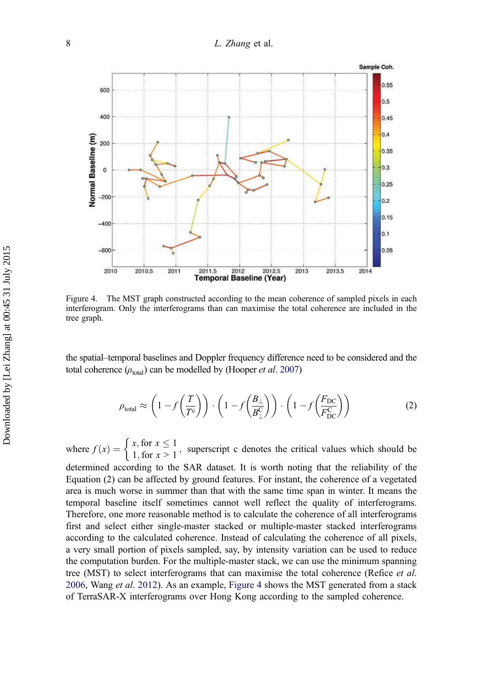# 8 L. Zhang et al.



Figure 4. The MST graph constructed according to the mean coherence of sampled pixels in each interferogram. Only the interferograms than can maximise the total coherence are included in the tree graph.

the spatial–temporal baselines and Doppler frequency difference need to be considered and the total coherence  $(\rho_{total})$  can be modelled by (Hooper *et al.* [2007](#page-25-0))

$$
\rho_{\text{total}} \approx \left(1 - f\left(\frac{T}{T^c}\right)\right) \cdot \left(1 - f\left(\frac{B_\perp}{B_\perp^C}\right)\right) \cdot \left(1 - f\left(\frac{F_{\text{DC}}}{F_{\text{DC}}^C}\right)\right) \tag{2}
$$

where  $f(x) = \begin{cases} x, \text{ for } x \le 1 \\ 1, \text{ for } x > 1 \end{cases}$ , superscript c denotes the critical values which should be

determined according to the SAR dataset. It is worth noting that the reliability of the Equation (2) can be affected by ground features. For instant, the coherence of a vegetated area is much worse in summer than that with the same time span in winter. It means the temporal baseline itself sometimes cannot well reflect the quality of interferograms. Therefore, one more reasonable method is to calculate the coherence of all interferograms first and select either single-master stacked or multiple-master stacked interferograms according to the calculated coherence. Instead of calculating the coherence of all pixels, a very small portion of pixels sampled, say, by intensity variation can be used to reduce the computation burden. For the multiple-master stack, we can use the minimum spanning tree (MST) to select interferograms that can maximise the total coherence (Refice *et al.* [2006](#page-26-0), Wang *et al.* [2012\)](#page-26-0). As an example, Figure 4 shows the MST generated from a stack of TerraSAR-X interferograms over Hong Kong according to the sampled coherence.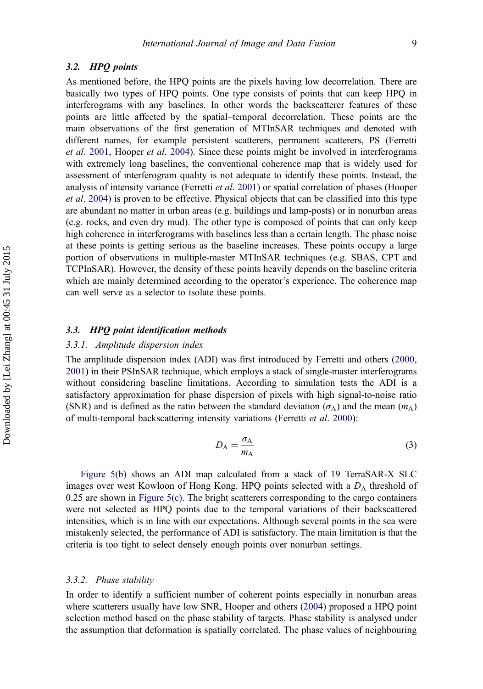# 3.2. HPQ points

As mentioned before, the HPQ points are the pixels having low decorrelation. There are basically two types of HPQ points. One type consists of points that can keep HPQ in interferograms with any baselines. In other words the backscatterer features of these points are little affected by the spatial–temporal decorrelation. These points are the main observations of the first generation of MTInSAR techniques and denoted with different names, for example persistent scatterers, permanent scatterers, PS (Ferretti et al. [2001](#page-25-0), Hooper et al. [2004\)](#page-25-0). Since these points might be involved in interferograms with extremely long baselines, the conventional coherence map that is widely used for assessment of interferogram quality is not adequate to identify these points. Instead, the analysis of intensity variance (Ferretti et al. [2001\)](#page-25-0) or spatial correlation of phases (Hooper et al. [2004](#page-25-0)) is proven to be effective. Physical objects that can be classified into this type are abundant no matter in urban areas (e.g. buildings and lamp-posts) or in nonurban areas (e.g. rocks, and even dry mud). The other type is composed of points that can only keep high coherence in interferograms with baselines less than a certain length. The phase noise at these points is getting serious as the baseline increases. These points occupy a large portion of observations in multiple-master MTInSAR techniques (e.g. SBAS, CPT and TCPInSAR). However, the density of these points heavily depends on the baseline criteria which are mainly determined according to the operator's experience. The coherence map can well serve as a selector to isolate these points.

# 3.3. HPQ point identification methods

# 3.3.1. Amplitude dispersion index

The amplitude dispersion index (ADI) was first introduced by Ferretti and others [\(2000](#page-24-0), [2001](#page-25-0)) in their PSInSAR technique, which employs a stack of single-master interferograms without considering baseline limitations. According to simulation tests the ADI is a satisfactory approximation for phase dispersion of pixels with high signal-to-noise ratio (SNR) and is defined as the ratio between the standard deviation ( $\sigma_A$ ) and the mean ( $m_A$ ) of multi-temporal backscattering intensity variations (Ferretti et al. [2000\)](#page-24-0):

$$
D_{\rm A} = \frac{\sigma_{\rm A}}{m_{\rm A}}\tag{3}
$$

[Figure 5\(b\)](#page-11-0) shows an ADI map calculated from a stack of 19 TerraSAR-X SLC images over west Kowloon of Hong Kong. HPQ points selected with a  $D_A$  threshold of 0.25 are shown in [Figure 5\(c\)](#page-11-0). The bright scatterers corresponding to the cargo containers were not selected as HPQ points due to the temporal variations of their backscattered intensities, which is in line with our expectations. Although several points in the sea were mistakenly selected, the performance of ADI is satisfactory. The main limitation is that the criteria is too tight to select densely enough points over nonurban settings.

#### 3.3.2. Phase stability

In order to identify a sufficient number of coherent points especially in nonurban areas where scatterers usually have low SNR, Hooper and others [\(2004](#page-25-0)) proposed a HPQ point selection method based on the phase stability of targets. Phase stability is analysed under the assumption that deformation is spatially correlated. The phase values of neighbouring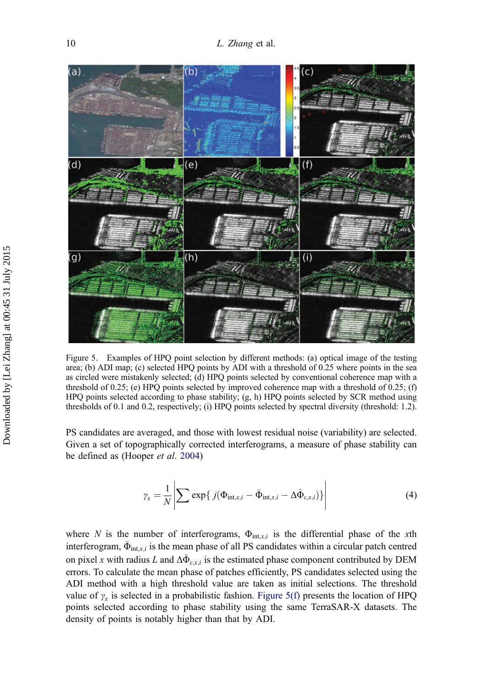<span id="page-11-0"></span>

Figure 5. Examples of HPQ point selection by different methods: (a) optical image of the testing area; (b) ADI map; (c) selected HPQ points by ADI with a threshold of 0.25 where points in the sea as circled were mistakenly selected; (d) HPQ points selected by conventional coherence map with a threshold of 0.25; (e) HPQ points selected by improved coherence map with a threshold of 0.25; (f) HPQ points selected according to phase stability; (g, h) HPQ points selected by SCR method using thresholds of 0.1 and 0.2, respectively; (i) HPQ points selected by spectral diversity (threshold: 1.2).

PS candidates are averaged, and those with lowest residual noise (variability) are selected. Given a set of topographically corrected interferograms, a measure of phase stability can be defined as (Hooper et al. [2004](#page-25-0))

$$
\gamma_x = \frac{1}{N} \left| \sum \exp\{j(\Phi_{\text{int},x,i} - \bar{\Phi}_{\text{int},x,i} - \Delta \hat{\Phi}_{\varepsilon,x,i})\} \right| \tag{4}
$$

where N is the number of interferograms,  $\Phi_{\text{int},x,i}$  is the differential phase of the xth interferogram,  $\bar{\Phi}_{int,x,i}$  is the mean phase of all PS candidates within a circular patch centred on pixel x with radius L and  $\Delta \hat{\Phi}_{\varepsilon x,i}$  is the estimated phase component contributed by DEM errors. To calculate the mean phase of patches efficiently, PS candidates selected using the ADI method with a high threshold value are taken as initial selections. The threshold value of  $\gamma_x$  is selected in a probabilistic fashion. Figure 5(f) presents the location of HPQ points selected according to phase stability using the same TerraSAR-X datasets. The density of points is notably higher than that by ADI.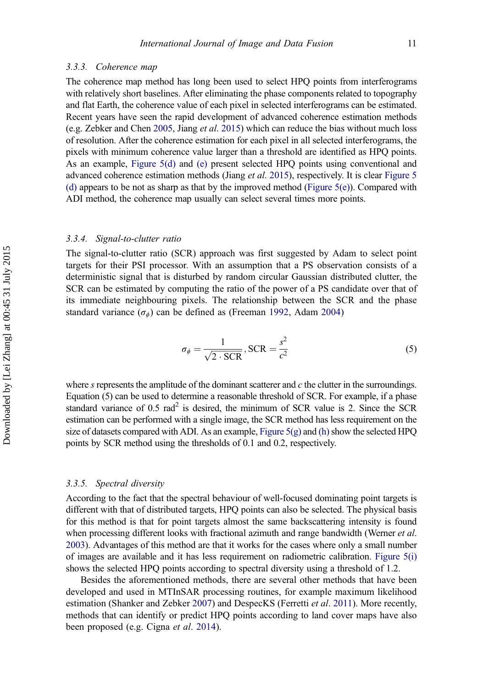#### 3.3.3. Coherence map

The coherence map method has long been used to select HPQ points from interferograms with relatively short baselines. After eliminating the phase components related to topography and flat Earth, the coherence value of each pixel in selected interferograms can be estimated. Recent years have seen the rapid development of advanced coherence estimation methods (e.g. Zebker and Chen [2005](#page-26-0), Jiang *et al.* [2015\)](#page-25-0) which can reduce the bias without much loss of resolution. After the coherence estimation for each pixel in all selected interferograms, the pixels with minimum coherence value larger than a threshold are identified as HPQ points. As an example, [Figure 5\(d\)](#page-11-0) and [\(e\)](#page-11-0) present selected HPQ points using conventional and advanced coherence estimation methods (Jiang et al. [2015](#page-25-0)), respectively. It is clear [Figure 5](#page-11-0) [\(d\)](#page-11-0) appears to be not as sharp as that by the improved method (Figure  $5(e)$ ). Compared with ADI method, the coherence map usually can select several times more points.

#### 3.3.4. Signal-to-clutter ratio

The signal-to-clutter ratio (SCR) approach was first suggested by Adam to select point targets for their PSI processor. With an assumption that a PS observation consists of a deterministic signal that is disturbed by random circular Gaussian distributed clutter, the SCR can be estimated by computing the ratio of the power of a PS candidate over that of its immediate neighbouring pixels. The relationship between the SCR and the phase standard variance  $(\sigma_{\phi})$  can be defined as (Freeman [1992,](#page-25-0) Adam [2004](#page-24-0))

$$
\sigma_{\phi} = \frac{1}{\sqrt{2 \cdot \text{SCR}}}, \text{SCR} = \frac{s^2}{c^2}
$$
 (5)

where s represents the amplitude of the dominant scatterer and  $c$  the clutter in the surroundings. Equation (5) can be used to determine a reasonable threshold of SCR. For example, if a phase standard variance of  $0.5$  rad<sup>2</sup> is desired, the minimum of SCR value is 2. Since the SCR estimation can be performed with a single image, the SCR method has less requirement on the size of datasets compared with ADI. As an example, Figure  $5(g)$  and [\(h\)](#page-11-0) show the selected HPQ points by SCR method using the thresholds of 0.1 and 0.2, respectively.

#### 3.3.5. Spectral diversity

According to the fact that the spectral behaviour of well-focused dominating point targets is different with that of distributed targets, HPQ points can also be selected. The physical basis for this method is that for point targets almost the same backscattering intensity is found when processing different looks with fractional azimuth and range bandwidth (Werner et al. [2003\)](#page-26-0). Advantages of this method are that it works for the cases where only a small number of images are available and it has less requirement on radiometric calibration. [Figure 5\(i\)](#page-11-0) shows the selected HPQ points according to spectral diversity using a threshold of 1.2.

Besides the aforementioned methods, there are several other methods that have been developed and used in MTInSAR processing routines, for example maximum likelihood estimation (Shanker and Zebker [2007\)](#page-26-0) and DespecKS (Ferretti et al. [2011](#page-24-0)). More recently, methods that can identify or predict HPQ points according to land cover maps have also been proposed (e.g. Cigna et al. [2014\)](#page-24-0).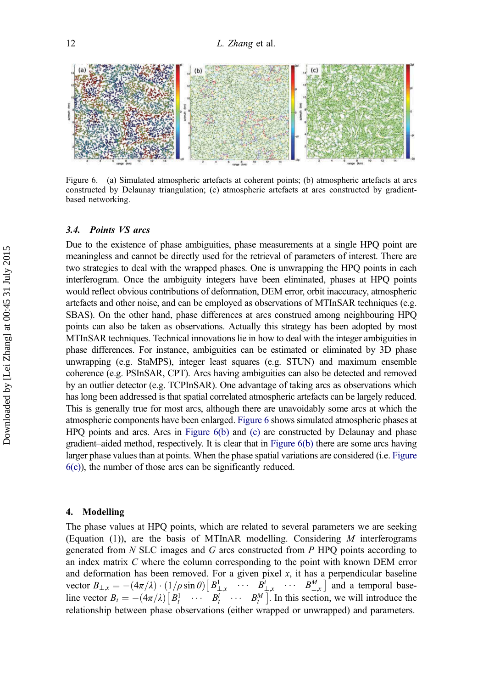<span id="page-13-0"></span>

Figure 6. (a) Simulated atmospheric artefacts at coherent points; (b) atmospheric artefacts at arcs constructed by Delaunay triangulation; (c) atmospheric artefacts at arcs constructed by gradientbased networking.

# 3.4. Points VS arcs

Due to the existence of phase ambiguities, phase measurements at a single HPQ point are meaningless and cannot be directly used for the retrieval of parameters of interest. There are two strategies to deal with the wrapped phases. One is unwrapping the HPQ points in each interferogram. Once the ambiguity integers have been eliminated, phases at HPQ points would reflect obvious contributions of deformation, DEM error, orbit inaccuracy, atmospheric artefacts and other noise, and can be employed as observations of MTInSAR techniques (e.g. SBAS). On the other hand, phase differences at arcs construed among neighbouring HPQ points can also be taken as observations. Actually this strategy has been adopted by most MTInSAR techniques. Technical innovations lie in how to deal with the integer ambiguities in phase differences. For instance, ambiguities can be estimated or eliminated by 3D phase unwrapping (e.g. StaMPS), integer least squares (e.g. STUN) and maximum ensemble coherence (e.g. PSInSAR, CPT). Arcs having ambiguities can also be detected and removed by an outlier detector (e.g. TCPInSAR). One advantage of taking arcs as observations which has long been addressed is that spatial correlated atmospheric artefacts can be largely reduced. This is generally true for most arcs, although there are unavoidably some arcs at which the atmospheric components have been enlarged. [Figure 6](#page-11-0) shows simulated atmospheric phases at HPQ points and arcs. Arcs in [Figure 6\(b\)](#page-11-0) and [\(c\)](#page-11-0) are constructed by Delaunay and phase gradient–aided method, respectively. It is clear that in Figure 6(b) there are some arcs having larger phase values than at points. When the phase spatial variations are considered (i.e. Figure  $6(c)$ ), the number of those arcs can be significantly reduced.

#### 4. Modelling

The phase values at HPQ points, which are related to several parameters we are seeking (Equation (1)), are the basis of MTInAR modelling. Considering  $M$  interferograms generated from  $N$  SLC images and  $G$  arcs constructed from  $P$  HPQ points according to an index matrix C where the column corresponding to the point with known DEM error and deformation has been removed. For a given pixel  $x$ , it has a perpendicular baseline vector  $B_{\perp,x} = -(4\pi/\lambda) \cdot (1/\rho \sin \theta) \left[ \frac{B_{\perp,x}^1}{\rho} \cdots \frac{B_{\perp,x}^l}{\rho M} \cdots \frac{B_{\perp,x}^M}{\rho M} \right]$  and a temporal baseline vector  $B_t = -(4\pi/\lambda) [B_t^1 \cdots B_t^i \cdots B_t^M]$ . In this section, we will introduce the relationship between phase observations (either viranned or unwrapped) and parameters relationship between phase observations (either wrapped or unwrapped) and parameters.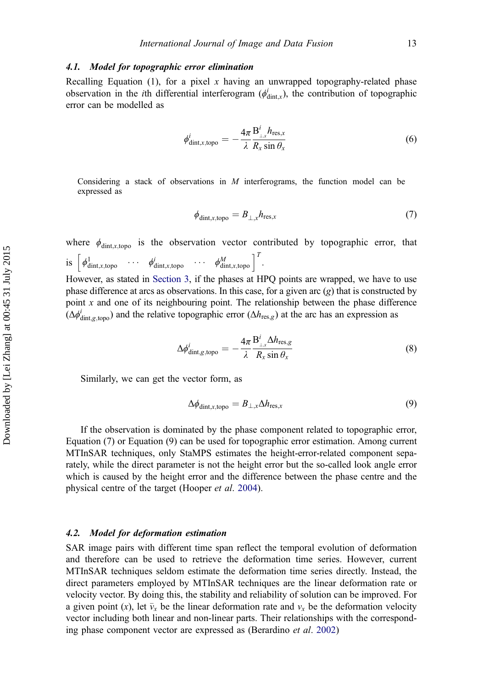# 4.1. Model for topographic error elimination

Recalling Equation (1), for a pixel x having an unwrapped topography-related phase observation in the *i*th differential interferogram ( $\phi_{\text{dint},x}^{i}$ ), the contribution of topographic error can be modelled as

$$
\phi_{\text{dint},x,\text{topo}}^{i} = -\frac{4\pi}{\lambda} \frac{\mathbf{B}_{\perp,x}^{i} h_{\text{res},x}}{R_{x}\sin\theta_{x}}
$$
(6)

Considering a stack of observations in  $M$  interferograms, the function model can be expressed as

$$
\phi_{\text{dint},x,\text{topo}} = B_{\perp,x} h_{\text{res},x} \tag{7}
$$

where  $\phi_{\text{dint},x,\text{topo}}$  is the observation vector contributed by topographic error, that is  $\left[\phi_{\text{dint},x,\text{topo}}^1 \quad \cdots \quad \phi_{\text{dint},x,\text{topo}}^i \quad \cdots \quad \phi_{\text{dint},x,\text{topo}}^M \right]^T$ .

However, as stated in [Section 3](#page-6-0), if the phases at HPQ points are wrapped, we have to use phase difference at arcs as observations. In this case, for a given arc  $(g)$  that is constructed by point  $x$  and one of its neighbouring point. The relationship between the phase difference  $(\Delta \phi_{\text{dint},g,\text{topo}}^i)$  and the relative topographic error  $(\Delta h_{\text{res},g})$  at the arc has an expression as

$$
\Delta \phi_{\text{dint},g,\text{topo}}^{i} = -\frac{4\pi}{\lambda} \frac{\mathbf{B}_{\perp,x}^{i} \Delta h_{\text{res},g}}{R_{x}\sin\theta_{x}}
$$
(8)

Similarly, we can get the vector form, as

$$
\Delta\phi_{\text{dint},x,\text{topo}} = B_{\perp,x} \Delta h_{\text{res},x} \tag{9}
$$

If the observation is dominated by the phase component related to topographic error, Equation (7) or Equation (9) can be used for topographic error estimation. Among current MTInSAR techniques, only StaMPS estimates the height-error-related component separately, while the direct parameter is not the height error but the so-called look angle error which is caused by the height error and the difference between the phase centre and the physical centre of the target (Hooper et al. [2004](#page-25-0)).

#### 4.2. Model for deformation estimation

SAR image pairs with different time span reflect the temporal evolution of deformation and therefore can be used to retrieve the deformation time series. However, current MTInSAR techniques seldom estimate the deformation time series directly. Instead, the direct parameters employed by MTInSAR techniques are the linear deformation rate or velocity vector. By doing this, the stability and reliability of solution can be improved. For a given point (x), let  $\bar{v}_x$  be the linear deformation rate and  $v_x$  be the deformation velocity vector including both linear and non-linear parts. Their relationships with the corresponding phase component vector are expressed as (Berardino et al. [2002](#page-24-0))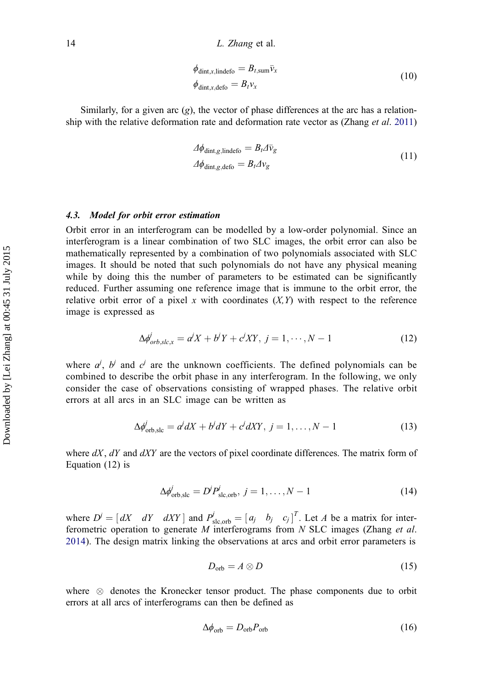$$
\phi_{\text{dint},x,\text{lindefo}} = B_{t,\text{sum}} \bar{v}_x
$$
\n
$$
\phi_{\text{dint},x,\text{defo}} = B_t v_x
$$
\n(10)

Similarly, for a given arc  $(g)$ , the vector of phase differences at the arc has a relationship with the relative deformation rate and deformation rate vector as (Zhang *et al.* [2011\)](#page-26-0)

$$
\Delta \phi_{\text{dint},g,\text{lindefo}} = B_t \Delta \bar{v}_g
$$
\n
$$
\Delta \phi_{\text{dint},g,\text{defo}} = B_t \Delta v_g
$$
\n(11)

# 4.3. Model for orbit error estimation

Orbit error in an interferogram can be modelled by a low-order polynomial. Since an interferogram is a linear combination of two SLC images, the orbit error can also be mathematically represented by a combination of two polynomials associated with SLC images. It should be noted that such polynomials do not have any physical meaning while by doing this the number of parameters to be estimated can be significantly reduced. Further assuming one reference image that is immune to the orbit error, the relative orbit error of a pixel x with coordinates  $(X, Y)$  with respect to the reference image is expressed as

$$
\Delta \phi_{orb,slc,x}^j = a^j X + b^j Y + c^j XY, \ j = 1, \cdots, N-1 \tag{12}
$$

where  $a^j$ ,  $b^j$  and  $c^j$  are the unknown coefficients. The defined polynomials can be combined to describe the orbit phase in any interferogram. In the following, we only consider the case of observations consisting of wrapped phases. The relative orbit errors at all arcs in an SLC image can be written as

$$
\Delta \phi'_{\text{orb,slc}} = a^i dX + b^i dY + c^i dXY, \ j = 1, \dots, N - 1 \tag{13}
$$

where  $dX$ ,  $dY$  and  $dXY$  are the vectors of pixel coordinate differences. The matrix form of Equation (12) is

$$
\Delta \phi_{\rm orb, slc}' = D' P_{\rm slc, orb}', j = 1, \dots, N - 1
$$
\n(14)

where  $D^j = [dX \ dY \ dXY]$  and  $P_{\text{slc,orb}}^j = [a_j \ b_j \ c_j]^T$ . Let A be a matrix for inter-<br>ferometric operation to generate M interferograms from N SLC images (Zhang *et al.* ferometric operation to generate  $M$  interferograms from  $N$  SLC images (Zhang et al. [2014\)](#page-26-0). The design matrix linking the observations at arcs and orbit error parameters is

$$
D_{\rm orb} = A \otimes D \tag{15}
$$

where  $\otimes$  denotes the Kronecker tensor product. The phase components due to orbit errors at all arcs of interferograms can then be defined as

$$
\Delta\phi_{\rm orb} = D_{\rm orb} P_{\rm orb} \tag{16}
$$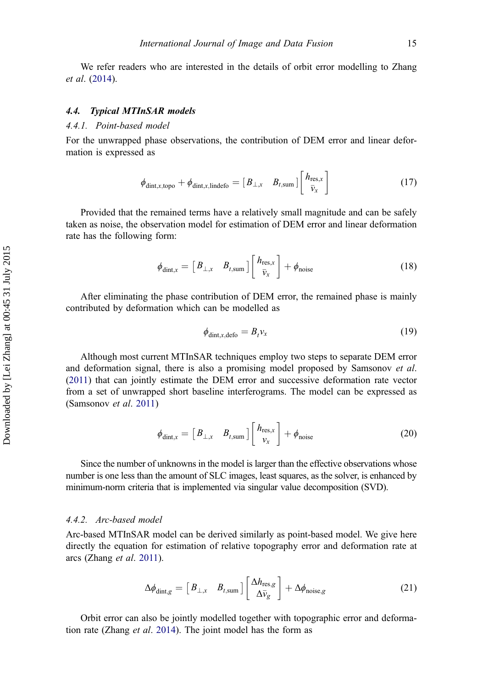We refer readers who are interested in the details of orbit error modelling to Zhang et al. [\(2014](#page-26-0)).

# 4.4. Typical MTInSAR models

#### 4.4.1. Point-based model

For the unwrapped phase observations, the contribution of DEM error and linear deformation is expressed as

$$
\phi_{\text{dint},x,\text{topo}} + \phi_{\text{dint},x,\text{lindefo}} = \begin{bmatrix} B_{\perp,x} & B_{t,\text{sum}} \end{bmatrix} \begin{bmatrix} h_{\text{res},x} \\ \bar{v}_x \end{bmatrix}
$$
(17)

Provided that the remained terms have a relatively small magnitude and can be safely taken as noise, the observation model for estimation of DEM error and linear deformation rate has the following form:

$$
\phi_{\text{dint},x} = \begin{bmatrix} B_{\perp,x} & B_{t,\text{sum}} \end{bmatrix} \begin{bmatrix} h_{\text{res},x} \\ \bar{v}_x \end{bmatrix} + \phi_{\text{noise}}
$$
(18)

After eliminating the phase contribution of DEM error, the remained phase is mainly contributed by deformation which can be modelled as

$$
\phi_{\text{dint},x,\text{defo}} = B_t v_x \tag{19}
$$

Although most current MTInSAR techniques employ two steps to separate DEM error and deformation signal, there is also a promising model proposed by Samsonov et al. ([2011](#page-26-0)) that can jointly estimate the DEM error and successive deformation rate vector from a set of unwrapped short baseline interferograms. The model can be expressed as (Samsonov et al. [2011\)](#page-26-0)

$$
\phi_{\text{dint},x} = \begin{bmatrix} B_{\perp,x} & B_{t,\text{sum}} \end{bmatrix} \begin{bmatrix} h_{\text{res},x} \\ v_x \end{bmatrix} + \phi_{\text{noise}}
$$
(20)

Since the number of unknowns in the model is larger than the effective observations whose number is one less than the amount of SLC images, least squares, as the solver, is enhanced by minimum-norm criteria that is implemented via singular value decomposition (SVD).

# 4.4.2. Arc-based model

Arc-based MTInSAR model can be derived similarly as point-based model. We give here directly the equation for estimation of relative topography error and deformation rate at arcs (Zhang et al. [2011\)](#page-26-0).

$$
\Delta \phi_{\text{dint},g} = \begin{bmatrix} B_{\perp,x} & B_{t,\text{sum}} \end{bmatrix} \begin{bmatrix} \Delta h_{\text{res},g} \\ \Delta \bar{\nu}_g \end{bmatrix} + \Delta \phi_{\text{noise},g} \tag{21}
$$

Orbit error can also be jointly modelled together with topographic error and deformation rate (Zhang et al. [2014\)](#page-26-0). The joint model has the form as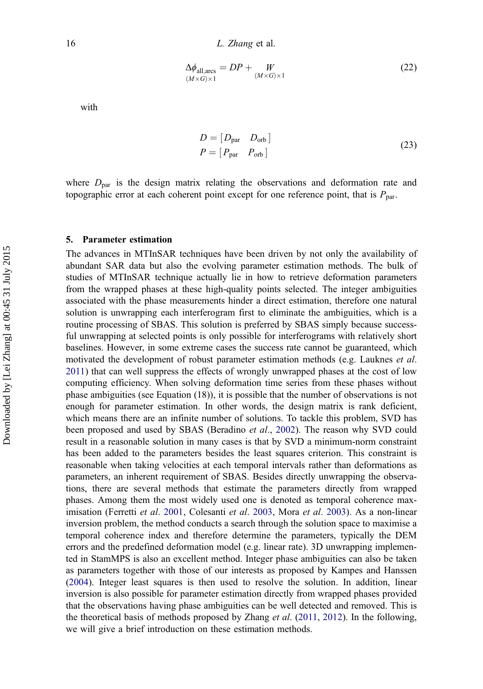$$
\Delta\phi_{\text{all,arcs}} = DP + \frac{W}{(M \times G) \times 1}
$$
\n(22)

<span id="page-17-0"></span>with

$$
D = [D_{\text{par}} \quad D_{\text{orb}}]
$$
  

$$
P = [P_{\text{par}} \quad P_{\text{orb}}]
$$
 (23)

where  $D_{\text{par}}$  is the design matrix relating the observations and deformation rate and topographic error at each coherent point except for one reference point, that is  $P_{\text{par}}$ .

#### 5. Parameter estimation

The advances in MTInSAR techniques have been driven by not only the availability of abundant SAR data but also the evolving parameter estimation methods. The bulk of studies of MTInSAR technique actually lie in how to retrieve deformation parameters from the wrapped phases at these high-quality points selected. The integer ambiguities associated with the phase measurements hinder a direct estimation, therefore one natural solution is unwrapping each interferogram first to eliminate the ambiguities, which is a routine processing of SBAS. This solution is preferred by SBAS simply because successful unwrapping at selected points is only possible for interferograms with relatively short baselines. However, in some extreme cases the success rate cannot be guaranteed, which motivated the development of robust parameter estimation methods (e.g. Lauknes *et al.*) [2011\)](#page-25-0) that can well suppress the effects of wrongly unwrapped phases at the cost of low computing efficiency. When solving deformation time series from these phases without phase ambiguities (see Equation (18)), it is possible that the number of observations is not enough for parameter estimation. In other words, the design matrix is rank deficient, which means there are an infinite number of solutions. To tackle this problem, SVD has been proposed and used by SBAS (Beradino *et al.*, [2002\)](#page-24-0). The reason why SVD could result in a reasonable solution in many cases is that by SVD a minimum-norm constraint has been added to the parameters besides the least squares criterion. This constraint is reasonable when taking velocities at each temporal intervals rather than deformations as parameters, an inherent requirement of SBAS. Besides directly unwrapping the observations, there are several methods that estimate the parameters directly from wrapped phases. Among them the most widely used one is denoted as temporal coherence maximisation (Ferretti *et al.* [2001](#page-25-0), Colesanti *et al.* [2003](#page-24-0), Mora *et al.* [2003\)](#page-25-0). As a non-linear inversion problem, the method conducts a search through the solution space to maximise a temporal coherence index and therefore determine the parameters, typically the DEM errors and the predefined deformation model (e.g. linear rate). 3D unwrapping implemented in StamMPS is also an excellent method. Integer phase ambiguities can also be taken as parameters together with those of our interests as proposed by Kampes and Hanssen ([2004](#page-25-0)). Integer least squares is then used to resolve the solution. In addition, linear inversion is also possible for parameter estimation directly from wrapped phases provided that the observations having phase ambiguities can be well detected and removed. This is the theoretical basis of methods proposed by Zhang *et al.* ([2011](#page-26-0), [2012\)](#page-26-0). In the following, we will give a brief introduction on these estimation methods.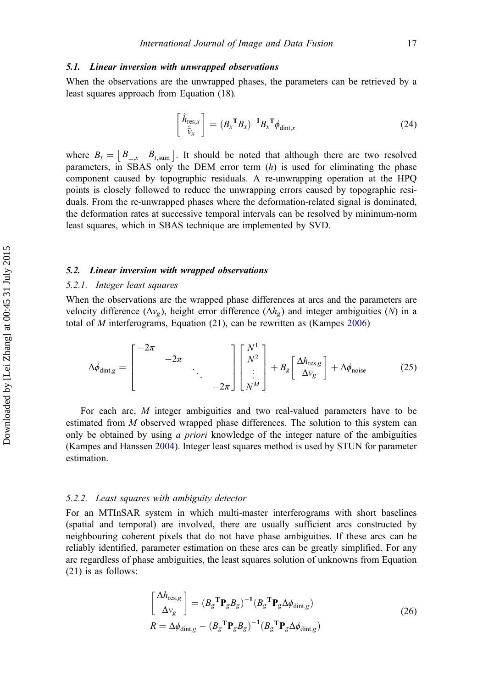#### 5.1. Linear inversion with unwrapped observations

When the observations are the unwrapped phases, the parameters can be retrieved by a least squares approach from Equation (18).

$$
\begin{bmatrix}\n\hat{h}_{\text{res},x} \\
\hat{v}_x\n\end{bmatrix} = (B_x \mathbf{T} B_x)^{-1} B_x \mathbf{T} \phi_{\text{dint},x}
$$
\n(24)

where  $B_x = \begin{bmatrix} B_{\perp,x} & B_{t,sum} \end{bmatrix}$ . It should be noted that although there are two resolved parameters, in SBAS only the DEM error term  $(h)$  is used for eliminating the phase component caused by topographic residuals. A re-unwrapping operation at the HPQ points is closely followed to reduce the unwrapping errors caused by topographic residuals. From the re-unwrapped phases where the deformation-related signal is dominated, the deformation rates at successive temporal intervals can be resolved by minimum-norm least squares, which in SBAS technique are implemented by SVD.

# 5.2. Linear inversion with wrapped observations

#### 5.2.1. Integer least squares

When the observations are the wrapped phase differences at arcs and the parameters are velocity difference ( $\Delta v_g$ ), height error difference ( $\Delta h_g$ ) and integer ambiguities (N) in a total of M interferograms, Equation (21), can be rewritten as (Kampes [2006\)](#page-25-0)

$$
\Delta \phi_{\text{dint},g} = \begin{bmatrix} -2\pi & & & \\ & -2\pi & & \\ & & \ddots & \\ & & & -2\pi \end{bmatrix} \begin{bmatrix} N^1 \\ N^2 \\ \vdots \\ N^M \end{bmatrix} + B_g \begin{bmatrix} \Delta h_{\text{res},g} \\ \Delta \bar{v}_g \end{bmatrix} + \Delta \phi_{\text{noise}} \tag{25}
$$

For each arc, M integer ambiguities and two real-valued parameters have to be estimated from M observed wrapped phase differences. The solution to this system can only be obtained by using *a priori* knowledge of the integer nature of the ambiguities (Kampes and Hanssen [2004](#page-25-0)). Integer least squares method is used by STUN for parameter estimation.

#### 5.2.2. Least squares with ambiguity detector

For an MTInSAR system in which multi-master interferograms with short baselines (spatial and temporal) are involved, there are usually sufficient arcs constructed by neighbouring coherent pixels that do not have phase ambiguities. If these arcs can be reliably identified, parameter estimation on these arcs can be greatly simplified. For any arc regardless of phase ambiguities, the least squares solution of unknowns from Equation (21) is as follows:

$$
\begin{bmatrix}\n\Delta h_{\text{res},g} \\
\Delta v_g\n\end{bmatrix} = (B_g^T \mathbf{P}_g B_g)^{-1} (B_g^T \mathbf{P}_g \Delta \phi_{\text{dint},g})
$$
\n
$$
R = \Delta \phi_{\text{dint},g} - (B_g^T \mathbf{P}_g B_g)^{-1} (B_g^T \mathbf{P}_g \Delta \phi_{\text{dint},g})
$$
\n(26)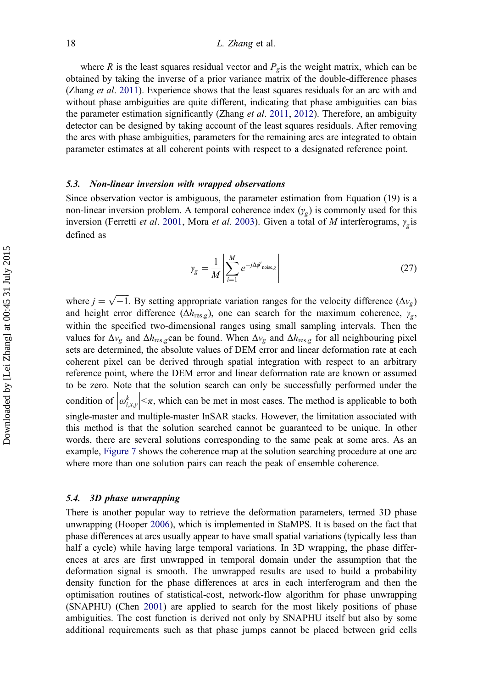where R is the least squares residual vector and  $P_{\alpha}$  is the weight matrix, which can be obtained by taking the inverse of a prior variance matrix of the double-difference phases (Zhang *et al.* [2011\)](#page-26-0). Experience shows that the least squares residuals for an arc with and without phase ambiguities are quite different, indicating that phase ambiguities can bias the parameter estimation significantly (Zhang et al. [2011](#page-26-0), [2012\)](#page-26-0). Therefore, an ambiguity detector can be designed by taking account of the least squares residuals. After removing the arcs with phase ambiguities, parameters for the remaining arcs are integrated to obtain parameter estimates at all coherent points with respect to a designated reference point.

#### 5.3. Non-linear inversion with wrapped observations

Since observation vector is ambiguous, the parameter estimation from Equation (19) is a non-linear inversion problem. A temporal coherence index  $(\gamma_e)$  is commonly used for this inversion (Ferretti et al. [2001](#page-25-0), Mora et al. [2003](#page-25-0)). Given a total of M interferograms,  $\gamma_g$  is defined as

$$
\gamma_g = \frac{1}{M} \left| \sum_{i=1}^{M} e^{-j\Delta \phi^i_{\text{noise},g}} \right| \tag{27}
$$

where  $j = \sqrt{-1}$ . By setting appropriate variation ranges for the velocity difference ( $\Delta v_g$ )<br>and beight error difference ( $\Delta h$ ) one can search for the maximum coherence, y and height error difference  $(\Delta h_{\text{res},g})$ , one can search for the maximum coherence,  $\gamma_g$ , within the specified two-dimensional ranges using small sampling intervals. Then the values for  $\Delta v_g$  and  $\Delta h_{res,g}$  can be found. When  $\Delta v_g$  and  $\Delta h_{res,g}$  for all neighbouring pixel sets are determined, the absolute values of DEM error and linear deformation rate at each coherent pixel can be derived through spatial integration with respect to an arbitrary reference point, where the DEM error and linear deformation rate are known or assumed to be zero. Note that the solution search can only be successfully performed under the condition of  $\left| \omega_{i,x,y}^{k} \right|$  $\left| \langle \pi, \text{ which can be met in most cases. The method is applicable to both } \right|$ single-master and multiple-master InSAR stacks. However, the limitation associated with this method is that the solution searched cannot be guaranteed to be unique. In other words, there are several solutions corresponding to the same peak at some arcs. As an example, [Figure 7](#page-13-0) shows the coherence map at the solution searching procedure at one arc where more than one solution pairs can reach the peak of ensemble coherence.

#### 5.4. 3D phase unwrapping

There is another popular way to retrieve the deformation parameters, termed 3D phase unwrapping (Hooper [2006](#page-25-0)), which is implemented in StaMPS. It is based on the fact that phase differences at arcs usually appear to have small spatial variations (typically less than half a cycle) while having large temporal variations. In 3D wrapping, the phase differences at arcs are first unwrapped in temporal domain under the assumption that the deformation signal is smooth. The unwrapped results are used to build a probability density function for the phase differences at arcs in each interferogram and then the optimisation routines of statistical-cost, network-flow algorithm for phase unwrapping (SNAPHU) (Chen [2001\)](#page-24-0) are applied to search for the most likely positions of phase ambiguities. The cost function is derived not only by SNAPHU itself but also by some additional requirements such as that phase jumps cannot be placed between grid cells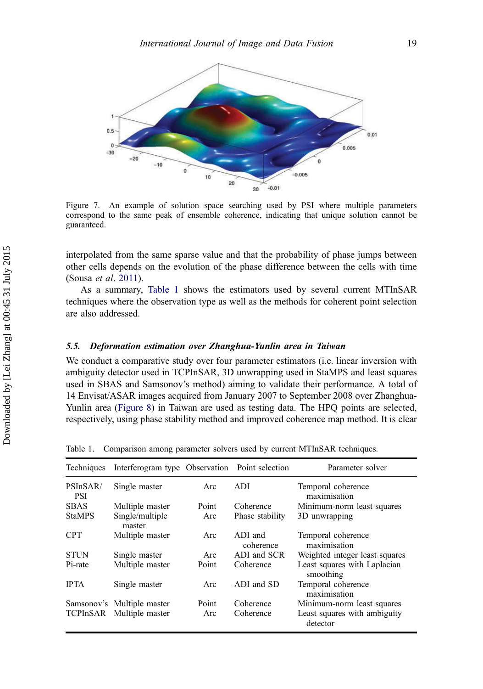

Figure 7. An example of solution space searching used by PSI where multiple parameters correspond to the same peak of ensemble coherence, indicating that unique solution cannot be guaranteed.

interpolated from the same sparse value and that the probability of phase jumps between other cells depends on the evolution of the phase difference between the cells with time (Sousa et al. [2011\)](#page-26-0).

As a summary, Table 1 shows the estimators used by several current MTInSAR techniques where the observation type as well as the methods for coherent point selection are also addressed.

# 5.5. Deformation estimation over Zhanghua-Yunlin area in Taiwan

We conduct a comparative study over four parameter estimators (i.e. linear inversion with ambiguity detector used in TCPInSAR, 3D unwrapping used in StaMPS and least squares used in SBAS and Samsonov's method) aiming to validate their performance. A total of 14 Envisat/ASAR images acquired from January 2007 to September 2008 over Zhanghua-Yunlin area [\(Figure 8\)](#page-21-0) in Taiwan are used as testing data. The HPQ points are selected, respectively, using phase stability method and improved coherence map method. It is clear

| Techniques          | Interferogram type Observation Point selection |       |                      | Parameter solver                          |
|---------------------|------------------------------------------------|-------|----------------------|-------------------------------------------|
| PSInSAR/<br>PSI     | Single master                                  | Arc   | ADI.                 | Temporal coherence<br>maximisation        |
| <b>SBAS</b>         | Multiple master                                | Point | Coherence            | Minimum-norm least squares                |
| <b>StaMPS</b>       | Single/multiple<br>master                      | Arc   | Phase stability      | 3D unwrapping                             |
| <b>CPT</b>          | Multiple master                                | Arc   | ADI and<br>coherence | Temporal coherence<br>maximisation        |
| <b>STUN</b>         | Single master                                  | Arc   | ADI and SCR          | Weighted integer least squares            |
| P <sub>i-rate</sub> | Multiple master                                | Point | Coherence            | Least squares with Laplacian<br>smoothing |
| <b>IPTA</b>         | Single master                                  | Arc   | ADI and SD           | Temporal coherence<br>maximisation        |
|                     | Samsonov's Multiple master                     | Point | Coherence            | Minimum-norm least squares                |
|                     | TCPInSAR Multiple master                       | Arc   | Coherence            | Least squares with ambiguity<br>detector  |

Table 1. Comparison among parameter solvers used by current MTInSAR techniques.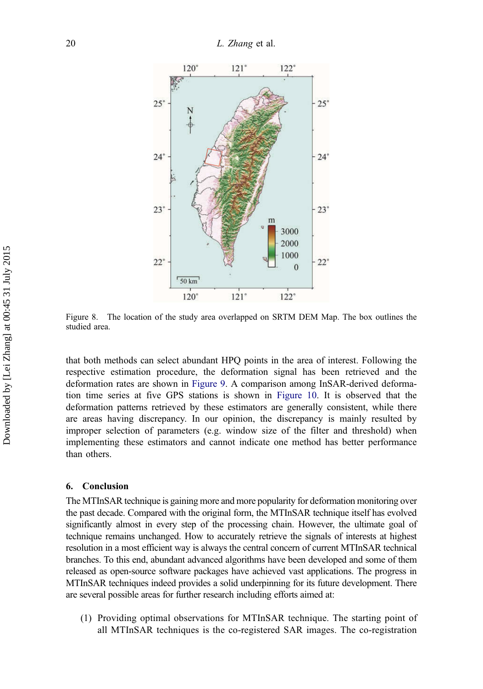<span id="page-21-0"></span>

Figure 8. The location of the study area overlapped on SRTM DEM Map. The box outlines the studied area.

that both methods can select abundant HPQ points in the area of interest. Following the respective estimation procedure, the deformation signal has been retrieved and the deformation rates are shown in [Figure 9](#page-22-0). A comparison among InSAR-derived deformation time series at five GPS stations is shown in [Figure 10.](#page-23-0) It is observed that the deformation patterns retrieved by these estimators are generally consistent, while there are areas having discrepancy. In our opinion, the discrepancy is mainly resulted by improper selection of parameters (e.g. window size of the filter and threshold) when implementing these estimators and cannot indicate one method has better performance than others.

#### 6. Conclusion

The MTInSAR technique is gaining more and more popularity for deformation monitoring over the past decade. Compared with the original form, the MTInSAR technique itself has evolved significantly almost in every step of the processing chain. However, the ultimate goal of technique remains unchanged. How to accurately retrieve the signals of interests at highest resolution in a most efficient way is always the central concern of current MTInSAR technical branches. To this end, abundant advanced algorithms have been developed and some of them released as open-source software packages have achieved vast applications. The progress in MTInSAR techniques indeed provides a solid underpinning for its future development. There are several possible areas for further research including efforts aimed at:

(1) Providing optimal observations for MTInSAR technique. The starting point of all MTInSAR techniques is the co-registered SAR images. The co-registration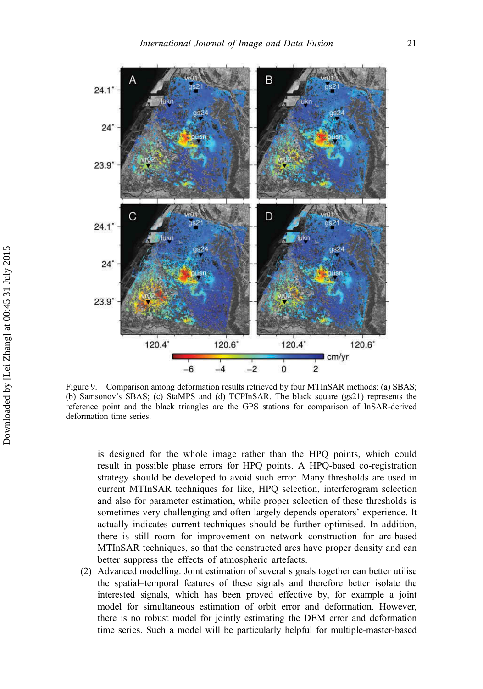<span id="page-22-0"></span>

Figure 9. Comparison among deformation results retrieved by four MTInSAR methods: (a) SBAS; (b) Samsonov's SBAS; (c) StaMPS and (d) TCPInSAR. The black square (gs21) represents the reference point and the black triangles are the GPS stations for comparison of InSAR-derived deformation time series.

is designed for the whole image rather than the HPQ points, which could result in possible phase errors for HPQ points. A HPQ-based co-registration strategy should be developed to avoid such error. Many thresholds are used in current MTInSAR techniques for like, HPQ selection, interferogram selection and also for parameter estimation, while proper selection of these thresholds is sometimes very challenging and often largely depends operators' experience. It actually indicates current techniques should be further optimised. In addition, there is still room for improvement on network construction for arc-based MTInSAR techniques, so that the constructed arcs have proper density and can better suppress the effects of atmospheric artefacts.

(2) Advanced modelling. Joint estimation of several signals together can better utilise the spatial–temporal features of these signals and therefore better isolate the interested signals, which has been proved effective by, for example a joint model for simultaneous estimation of orbit error and deformation. However, there is no robust model for jointly estimating the DEM error and deformation time series. Such a model will be particularly helpful for multiple-master-based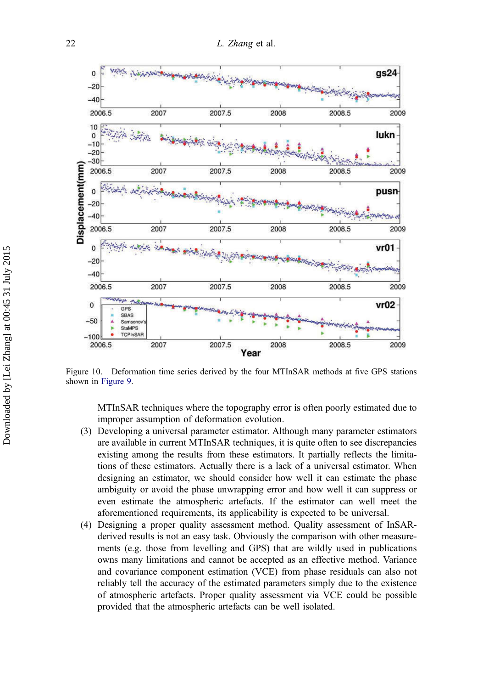<span id="page-23-0"></span>

Figure 10. Deformation time series derived by the four MTInSAR methods at five GPS stations shown in [Figure 9](#page-22-0).

MTInSAR techniques where the topography error is often poorly estimated due to improper assumption of deformation evolution.

- (3) Developing a universal parameter estimator. Although many parameter estimators are available in current MTInSAR techniques, it is quite often to see discrepancies existing among the results from these estimators. It partially reflects the limitations of these estimators. Actually there is a lack of a universal estimator. When designing an estimator, we should consider how well it can estimate the phase ambiguity or avoid the phase unwrapping error and how well it can suppress or even estimate the atmospheric artefacts. If the estimator can well meet the aforementioned requirements, its applicability is expected to be universal.
- (4) Designing a proper quality assessment method. Quality assessment of InSARderived results is not an easy task. Obviously the comparison with other measurements (e.g. those from levelling and GPS) that are wildly used in publications owns many limitations and cannot be accepted as an effective method. Variance and covariance component estimation (VCE) from phase residuals can also not reliably tell the accuracy of the estimated parameters simply due to the existence of atmospheric artefacts. Proper quality assessment via VCE could be possible provided that the atmospheric artefacts can be well isolated.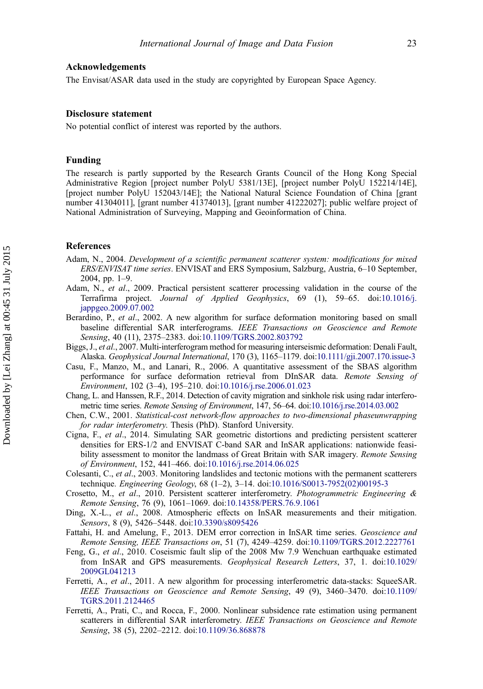<span id="page-24-0"></span>The Envisat/ASAR data used in the study are copyrighted by European Space Agency.

#### Disclosure statement

No potential conflict of interest was reported by the authors.

#### Funding

The research is partly supported by the Research Grants Council of the Hong Kong Special Administrative Region [project number PolyU 5381/13E], [project number PolyU 152214/14E], [project number PolyU 152043/14E]; the National Natural Science Foundation of China [grant number 41304011], [grant number 41374013], [grant number 41222027]; public welfare project of National Administration of Surveying, Mapping and Geoinformation of China.

# References

- Adam, N., 2004. Development of a scientific permanent scatterer system: modifications for mixed ERS/ENVISAT time series. ENVISAT and ERS Symposium, Salzburg, Austria, 6–10 September, 2004, pp. 1–9.
- Adam, N., et al., 2009. Practical persistent scatterer processing validation in the course of the Terrafirma project. Journal of Applied Geophysics, 69 (1), 59–65. doi:[10.1016/j.](http://dx.doi.org/10.1016/j.jappgeo.2009.07.002) [jappgeo.2009.07.002](http://dx.doi.org/10.1016/j.jappgeo.2009.07.002)
- Berardino, P., et al., 2002. A new algorithm for surface deformation monitoring based on small baseline differential SAR interferograms. IEEE Transactions on Geoscience and Remote Sensing, 40 (11), 2375–2383. doi:[10.1109/TGRS.2002.803792](http://dx.doi.org/10.1109/TGRS.2002.803792)
- Biggs, J., et al., 2007. Multi-interferogram method for measuring interseismic deformation: Denali Fault, Alaska. Geophysical Journal International, 170 (3), 1165–1179. doi:[10.1111/gji.2007.170.issue-3](http://dx.doi.org/10.1111/gji.2007.170.issue-3)
- Casu, F., Manzo, M., and Lanari, R., 2006. A quantitative assessment of the SBAS algorithm performance for surface deformation retrieval from DInSAR data. Remote Sensing of Environment, 102 (3–4), 195–210. doi:[10.1016/j.rse.2006.01.023](http://dx.doi.org/10.1016/j.rse.2006.01.023)
- Chang, L. and Hanssen, R.F., 2014. Detection of cavity migration and sinkhole risk using radar interferometric time series. Remote Sensing of Environment, 147, 56–64. doi:[10.1016/j.rse.2014.03.002](http://dx.doi.org/10.1016/j.rse.2014.03.002)
- Chen, C.W., 2001. Statistical-cost network-flow approaches to two-dimensional phaseunwrapping for radar interferometry. Thesis (PhD). Stanford University.
- Cigna, F., et al., 2014. Simulating SAR geometric distortions and predicting persistent scatterer densities for ERS-1/2 and ENVISAT C-band SAR and InSAR applications: nationwide feasibility assessment to monitor the landmass of Great Britain with SAR imagery. Remote Sensing of Environment, 152, 441–466. doi:[10.1016/j.rse.2014.06.025](http://dx.doi.org/10.1016/j.rse.2014.06.025)
- Colesanti, C., et al., 2003. Monitoring landslides and tectonic motions with the permanent scatterers technique. Engineering Geology, 68 (1–2), 3–14. doi:[10.1016/S0013-7952\(02\)00195-3](http://dx.doi.org/10.1016/S0013-7952(02)00195-3)
- Crosetto, M., et al., 2010. Persistent scatterer interferometry. Photogrammetric Engineering & Remote Sensing, 76 (9), 1061–1069. doi:[10.14358/PERS.76.9.1061](http://dx.doi.org/10.14358/PERS.76.9.1061)
- Ding, X.-L., et al., 2008. Atmospheric effects on InSAR measurements and their mitigation. Sensors, 8 (9), 5426–5448. doi:[10.3390/s8095426](http://dx.doi.org/10.3390/s8095426)
- Fattahi, H. and Amelung, F., 2013. DEM error correction in InSAR time series. Geoscience and Remote Sensing, IEEE Transactions on, 51 (7), 4249–4259. doi:[10.1109/TGRS.2012.2227761](http://dx.doi.org/10.1109/TGRS.2012.2227761)
- Feng, G., et al., 2010. Coseismic fault slip of the 2008 Mw 7.9 Wenchuan earthquake estimated from InSAR and GPS measurements. Geophysical Research Letters, 37, 1. doi:[10.1029/](http://dx.doi.org/10.1029/2009GL041213) [2009GL041213](http://dx.doi.org/10.1029/2009GL041213)
- Ferretti, A., et al., 2011. A new algorithm for processing interferometric data-stacks: SqueeSAR. IEEE Transactions on Geoscience and Remote Sensing, 49 (9), 3460–3470. doi:[10.1109/](http://dx.doi.org/10.1109/TGRS.2011.2124465) [TGRS.2011.2124465](http://dx.doi.org/10.1109/TGRS.2011.2124465)
- Ferretti, A., Prati, C., and Rocca, F., 2000. Nonlinear subsidence rate estimation using permanent scatterers in differential SAR interferometry. IEEE Transactions on Geoscience and Remote Sensing, 38 (5), 2202–2212. doi:[10.1109/36.868878](http://dx.doi.org/10.1109/36.868878)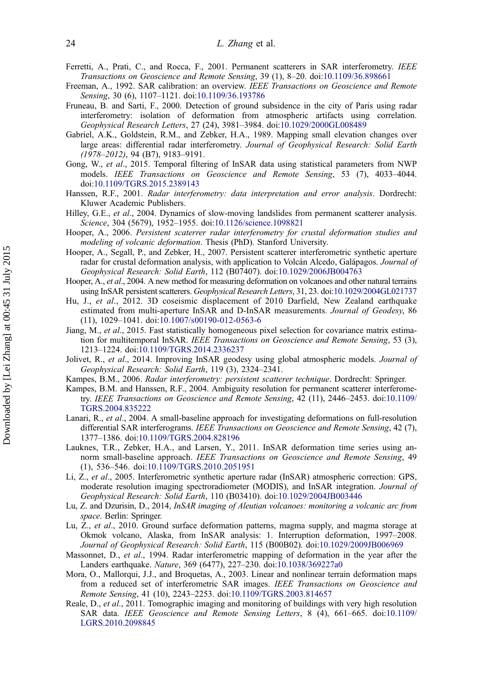- <span id="page-25-0"></span>Ferretti, A., Prati, C., and Rocca, F., 2001. Permanent scatterers in SAR interferometry. IEEE Transactions on Geoscience and Remote Sensing, 39 (1), 8–20. doi:[10.1109/36.898661](http://dx.doi.org/10.1109/36.898661)
- Freeman, A., 1992. SAR calibration: an overview. IEEE Transactions on Geoscience and Remote Sensing, 30 (6), 1107–1121. doi:[10.1109/36.193786](http://dx.doi.org/10.1109/36.193786)
- Fruneau, B. and Sarti, F., 2000. Detection of ground subsidence in the city of Paris using radar interferometry: isolation of deformation from atmospheric artifacts using correlation. Geophysical Research Letters, 27 (24), 3981–3984. doi:[10.1029/2000GL008489](http://dx.doi.org/10.1029/2000GL008489)
- Gabriel, A.K., Goldstein, R.M., and Zebker, H.A., 1989. Mapping small elevation changes over large areas: differential radar interferometry. Journal of Geophysical Research: Solid Earth (1978–2012), 94 (B7), 9183–9191.
- Gong, W., et al., 2015. Temporal filtering of InSAR data using statistical parameters from NWP models. IEEE Transactions on Geoscience and Remote Sensing, 53 (7), 4033–4044. doi:[10.1109/TGRS.2015.2389143](http://dx.doi.org/10.1109/TGRS.2015.2389143)
- Hanssen, R.F., 2001. Radar interferometry: data interpretation and error analysis. Dordrecht: Kluwer Academic Publishers.
- Hilley, G.E., et al., 2004. Dynamics of slow-moving landslides from permanent scatterer analysis. Science, 304 (5679), 1952–1955. doi:[10.1126/science.1098821](http://dx.doi.org/10.1126/science.1098821)
- Hooper, A., 2006. Persistent scaterrer radar interferometry for crustal deformation studies and modeling of volcanic deformation. Thesis (PhD). Stanford University.
- Hooper, A., Segall, P., and Zebker, H., 2007. Persistent scatterer interferometric synthetic aperture radar for crustal deformation analysis, with application to Volcán Alcedo, Galápagos. Journal of Geophysical Research: Solid Earth, 112 (B07407). doi:[10.1029/2006JB004763](http://dx.doi.org/10.1029/2006JB004763)
- Hooper, A., et al., 2004. A new method for measuring deformation on volcanoes and other natural terrains using InSAR persistent scatterers. Geophysical Research Letters, 31, 23. doi:[10.1029/2004GL021737](http://dx.doi.org/10.1029/2004GL021737)
- Hu, J., et al., 2012. 3D coseismic displacement of 2010 Darfield, New Zealand earthquake estimated from multi-aperture InSAR and D-InSAR measurements. Journal of Geodesy, 86 (11), 1029–1041. doi:[10.1007/s00190-012-0563-6](http://dx.doi.org/10.1007/s00190-012-0563-6)
- Jiang, M., et al., 2015. Fast statistically homogeneous pixel selection for covariance matrix estimation for multitemporal InSAR. IEEE Transactions on Geoscience and Remote Sensing, 53 (3), 1213–1224. doi:[10.1109/TGRS.2014.2336237](http://dx.doi.org/10.1109/TGRS.2014.2336237)
- Jolivet, R., et al., 2014. Improving InSAR geodesy using global atmospheric models. Journal of Geophysical Research: Solid Earth, 119 (3), 2324–2341.
- Kampes, B.M., 2006. Radar interferometry: persistent scatterer technique. Dordrecht: Springer.
- Kampes, B.M. and Hanssen, R.F., 2004. Ambiguity resolution for permanent scatterer interferometry. IEEE Transactions on Geoscience and Remote Sensing, 42 (11), 2446–2453. doi:[10.1109/](http://dx.doi.org/10.1109/TGRS.2004.835222) [TGRS.2004.835222](http://dx.doi.org/10.1109/TGRS.2004.835222)
- Lanari, R., et al., 2004. A small-baseline approach for investigating deformations on full-resolution differential SAR interferograms. IEEE Transactions on Geoscience and Remote Sensing, 42 (7), 1377–1386. doi:[10.1109/TGRS.2004.828196](http://dx.doi.org/10.1109/TGRS.2004.828196)
- Lauknes, T.R., Zebker, H.A., and Larsen, Y., 2011. InSAR deformation time series using annorm small-baseline approach. IEEE Transactions on Geoscience and Remote Sensing, 49 (1), 536–546. doi:[10.1109/TGRS.2010.2051951](http://dx.doi.org/10.1109/TGRS.2010.2051951)
- Li, Z., et al., 2005. Interferometric synthetic aperture radar (InSAR) atmospheric correction: GPS, moderate resolution imaging spectroradiometer (MODIS), and InSAR integration. Journal of Geophysical Research: Solid Earth, 110 (B03410). doi:[10.1029/2004JB003446](http://dx.doi.org/10.1029/2004JB003446)
- Lu, Z. and Dzurisin, D., 2014, InSAR imaging of Aleutian volcanoes: monitoring a volcanic arc from space. Berlin: Springer.
- Lu, Z., et al., 2010. Ground surface deformation patterns, magma supply, and magma storage at Okmok volcano, Alaska, from InSAR analysis: 1. Interruption deformation, 1997–2008. Journal of Geophysical Research: Solid Earth, 115 (B00B02). doi:[10.1029/2009JB006969](http://dx.doi.org/10.1029/2009JB006969)
- Massonnet, D., et al., 1994. Radar interferometric mapping of deformation in the year after the Landers earthquake. Nature, 369 (6477), 227–230. doi:[10.1038/369227a0](http://dx.doi.org/10.1038/369227a0)
- Mora, O., Mallorqui, J.J., and Broquetas, A., 2003. Linear and nonlinear terrain deformation maps from a reduced set of interferometric SAR images. IEEE Transactions on Geoscience and Remote Sensing, 41 (10), 2243–2253. doi:[10.1109/TGRS.2003.814657](http://dx.doi.org/10.1109/TGRS.2003.814657)
- Reale, D., et al., 2011. Tomographic imaging and monitoring of buildings with very high resolution SAR data. IEEE Geoscience and Remote Sensing Letters, 8 (4), 661–665. doi:[10.1109/](http://dx.doi.org/10.1109/LGRS.2010.2098845) [LGRS.2010.2098845](http://dx.doi.org/10.1109/LGRS.2010.2098845)